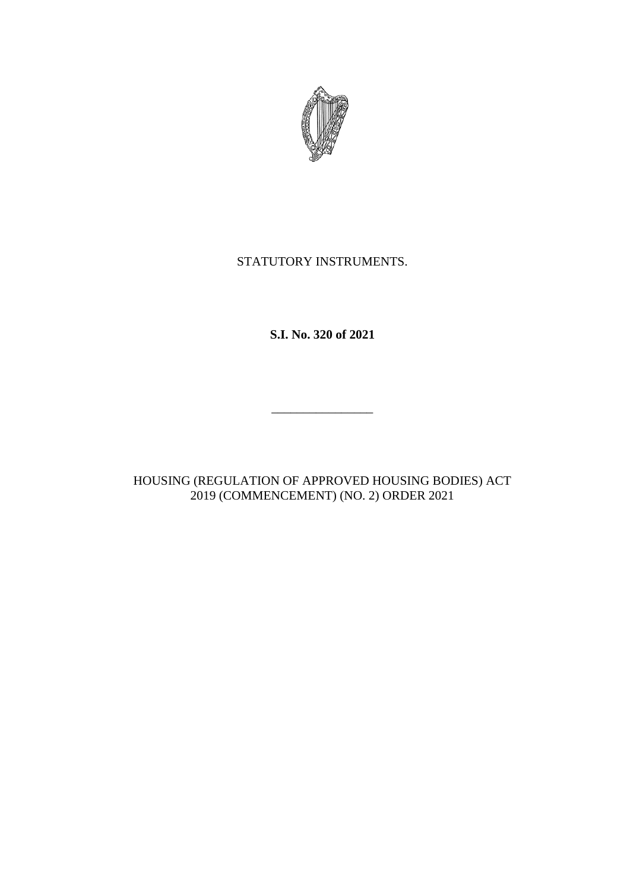

## STATUTORY INSTRUMENTS.

**S.I. No. 320 of 2021**

HOUSING (REGULATION OF APPROVED HOUSING BODIES) ACT 2019 (COMMENCEMENT) (NO. 2) ORDER 2021

\_\_\_\_\_\_\_\_\_\_\_\_\_\_\_\_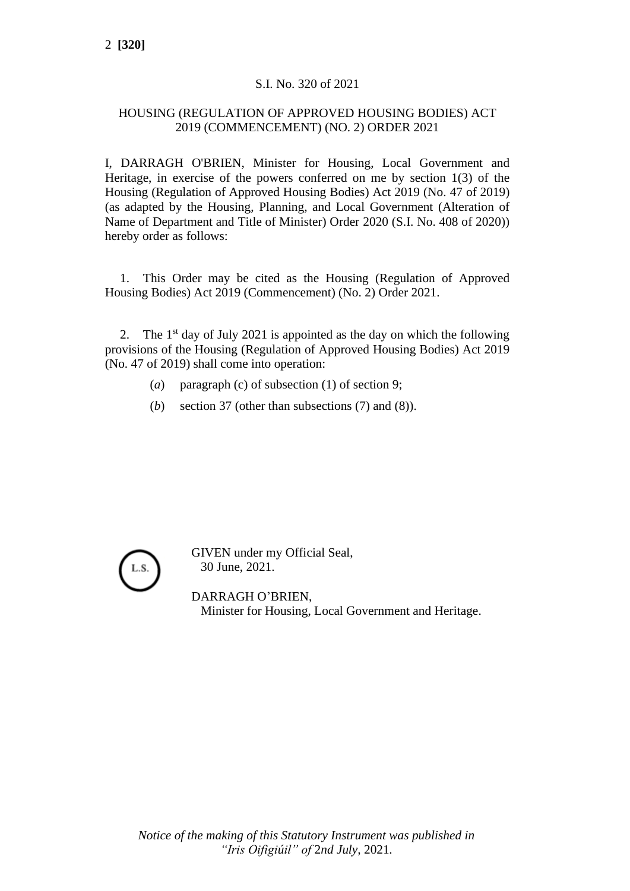## S.I. No. 320 of 2021

## HOUSING (REGULATION OF APPROVED HOUSING BODIES) ACT 2019 (COMMENCEMENT) (NO. 2) ORDER 2021

I, DARRAGH O'BRIEN, Minister for Housing, Local Government and Heritage, in exercise of the powers conferred on me by section 1(3) of the Housing (Regulation of Approved Housing Bodies) Act 2019 (No. 47 of 2019) (as adapted by the Housing, Planning, and Local Government (Alteration of Name of Department and Title of Minister) Order 2020 (S.I. No. 408 of 2020)) hereby order as follows:

1. This Order may be cited as the Housing (Regulation of Approved Housing Bodies) Act 2019 (Commencement) (No. 2) Order 2021.

2. The  $1<sup>st</sup>$  day of July 2021 is appointed as the day on which the following provisions of the Housing (Regulation of Approved Housing Bodies) Act 2019 (No. 47 of 2019) shall come into operation:

- (*a*) paragraph (c) of subsection (1) of section 9;
- (*b*) section 37 (other than subsections (7) and (8)).



GIVEN under my Official Seal, 30 June, 2021.

DARRAGH O'BRIEN, Minister for Housing, Local Government and Heritage.